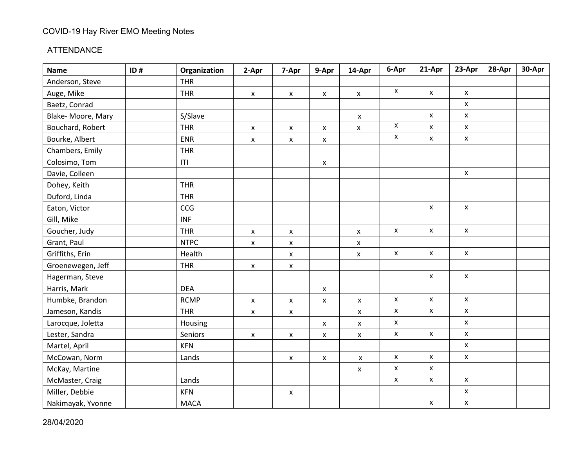## COVID-19 Hay River EMO Meeting Notes

## ATTENDANCE

| <b>Name</b>       | ID# | Organization | 2-Apr              | 7-Apr                     | 9-Apr              | 14-Apr             | 6-Apr                     | 21-Apr             | 23-Apr             | 28-Apr | 30-Apr |
|-------------------|-----|--------------|--------------------|---------------------------|--------------------|--------------------|---------------------------|--------------------|--------------------|--------|--------|
| Anderson, Steve   |     | <b>THR</b>   |                    |                           |                    |                    |                           |                    |                    |        |        |
| Auge, Mike        |     | <b>THR</b>   | $\pmb{\mathsf{X}}$ | $\pmb{\mathsf{x}}$        | $\pmb{\mathsf{x}}$ | $\pmb{\mathsf{X}}$ | $\mathsf X$               | X                  | x                  |        |        |
| Baetz, Conrad     |     |              |                    |                           |                    |                    |                           |                    | X                  |        |        |
| Blake-Moore, Mary |     | S/Slave      |                    |                           |                    | X                  |                           | X                  | X                  |        |        |
| Bouchard, Robert  |     | <b>THR</b>   | X                  | $\boldsymbol{\mathsf{X}}$ | $\pmb{\mathsf{x}}$ | $\pmb{\mathsf{X}}$ | $\pmb{\mathsf{X}}$        | X                  | $\pmb{\mathsf{x}}$ |        |        |
| Bourke, Albert    |     | <b>ENR</b>   | $\pmb{\mathsf{X}}$ | $\pmb{\chi}$              | X                  |                    | $\pmb{\mathsf{X}}$        | X                  | X                  |        |        |
| Chambers, Emily   |     | <b>THR</b>   |                    |                           |                    |                    |                           |                    |                    |        |        |
| Colosimo, Tom     |     | T            |                    |                           | $\pmb{\mathsf{X}}$ |                    |                           |                    |                    |        |        |
| Davie, Colleen    |     |              |                    |                           |                    |                    |                           |                    | $\pmb{\mathsf{x}}$ |        |        |
| Dohey, Keith      |     | <b>THR</b>   |                    |                           |                    |                    |                           |                    |                    |        |        |
| Duford, Linda     |     | <b>THR</b>   |                    |                           |                    |                    |                           |                    |                    |        |        |
| Eaton, Victor     |     | CCG          |                    |                           |                    |                    |                           | $\pmb{\mathsf{X}}$ | X                  |        |        |
| Gill, Mike        |     | <b>INF</b>   |                    |                           |                    |                    |                           |                    |                    |        |        |
| Goucher, Judy     |     | <b>THR</b>   | X                  | $\pmb{\chi}$              |                    | X                  | $\pmb{\mathsf{X}}$        | $\pmb{\mathsf{x}}$ | x                  |        |        |
| Grant, Paul       |     | <b>NTPC</b>  | $\mathsf{x}$       | X                         |                    | X                  |                           |                    |                    |        |        |
| Griffiths, Erin   |     | Health       |                    | $\pmb{\mathsf{x}}$        |                    | X                  | $\pmb{\mathsf{X}}$        | $\pmb{\mathsf{X}}$ | $\pmb{\mathsf{X}}$ |        |        |
| Groenewegen, Jeff |     | <b>THR</b>   | $\pmb{\mathsf{X}}$ | $\pmb{\mathsf{x}}$        |                    |                    |                           |                    |                    |        |        |
| Hagerman, Steve   |     |              |                    |                           |                    |                    |                           | $\pmb{\mathsf{X}}$ | X                  |        |        |
| Harris, Mark      |     | <b>DEA</b>   |                    |                           | $\pmb{\mathsf{X}}$ |                    |                           |                    |                    |        |        |
| Humbke, Brandon   |     | <b>RCMP</b>  | $\pmb{\mathsf{X}}$ | $\pmb{\chi}$              | X                  | X                  | X                         | $\pmb{\mathsf{X}}$ | X                  |        |        |
| Jameson, Kandis   |     | <b>THR</b>   | $\pmb{\mathsf{X}}$ | $\boldsymbol{\mathsf{x}}$ |                    | X                  | $\pmb{\mathsf{X}}$        | $\pmb{\mathsf{X}}$ | x                  |        |        |
| Larocque, Joletta |     | Housing      |                    |                           | X                  | X                  | $\pmb{\mathsf{X}}$        |                    | $\pmb{\mathsf{X}}$ |        |        |
| Lester, Sandra    |     | Seniors      | $\pmb{\mathsf{x}}$ | $\pmb{\mathsf{X}}$        | $\pmb{\mathsf{x}}$ | $\pmb{\mathsf{x}}$ | $\pmb{\mathsf{x}}$        | $\pmb{\mathsf{x}}$ | $\pmb{\mathsf{x}}$ |        |        |
| Martel, April     |     | <b>KFN</b>   |                    |                           |                    |                    |                           |                    | $\pmb{\mathsf{x}}$ |        |        |
| McCowan, Norm     |     | Lands        |                    | $\pmb{\mathsf{x}}$        | X                  | $\pmb{\mathsf{X}}$ | $\boldsymbol{\mathsf{x}}$ | $\mathsf{x}$       | X                  |        |        |
| McKay, Martine    |     |              |                    |                           |                    | X                  | $\pmb{\mathsf{X}}$        | $\pmb{\mathsf{X}}$ |                    |        |        |
| McMaster, Craig   |     | Lands        |                    |                           |                    |                    | $\pmb{\mathsf{X}}$        | $\pmb{\mathsf{X}}$ | $\pmb{\mathsf{x}}$ |        |        |
| Miller, Debbie    |     | <b>KFN</b>   |                    | $\boldsymbol{\mathsf{X}}$ |                    |                    |                           |                    | X                  |        |        |
| Nakimayak, Yvonne |     | <b>MACA</b>  |                    |                           |                    |                    |                           | $\pmb{\mathsf{X}}$ | $\pmb{\mathsf{x}}$ |        |        |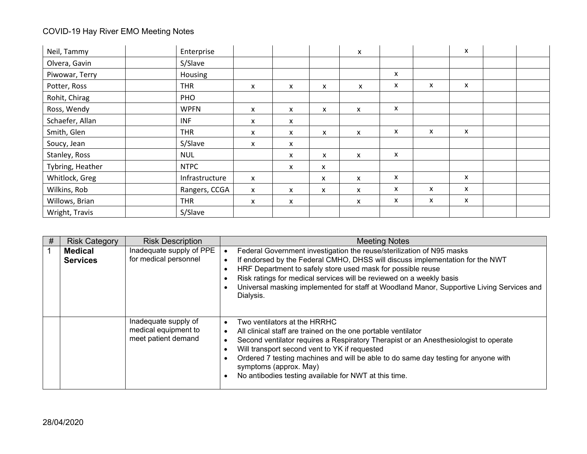## COVID-19 Hay River EMO Meeting Notes

| Neil, Tammy      | Enterprise     |              |   |   | X                         |   |                           | X |  |
|------------------|----------------|--------------|---|---|---------------------------|---|---------------------------|---|--|
| Olvera, Gavin    | S/Slave        |              |   |   |                           |   |                           |   |  |
| Piwowar, Terry   | Housing        |              |   |   |                           | X |                           |   |  |
| Potter, Ross     | <b>THR</b>     | X            | X | x | X                         | X | x                         | x |  |
| Rohit, Chirag    | PHO            |              |   |   |                           |   |                           |   |  |
| Ross, Wendy      | <b>WPFN</b>    | X            | X | X | X                         | X |                           |   |  |
| Schaefer, Allan  | <b>INF</b>     | X            | X |   |                           |   |                           |   |  |
| Smith, Glen      | <b>THR</b>     | X            | X | X | $\boldsymbol{\mathsf{x}}$ | X | $\boldsymbol{\mathsf{x}}$ | X |  |
| Soucy, Jean      | S/Slave        | $\mathsf{x}$ | X |   |                           |   |                           |   |  |
| Stanley, Ross    | <b>NUL</b>     |              | X | X | $\boldsymbol{\mathsf{x}}$ | X |                           |   |  |
| Tybring, Heather | <b>NTPC</b>    |              | X | X |                           |   |                           |   |  |
| Whitlock, Greg   | Infrastructure | x            |   | x | X                         | X |                           | x |  |
| Wilkins, Rob     | Rangers, CCGA  | X            | X | x | X                         | X | X                         | X |  |
| Willows, Brian   | <b>THR</b>     | X            | X |   | x                         | X | X                         | x |  |
| Wright, Travis   | S/Slave        |              |   |   |                           |   |                           |   |  |

| # | <b>Risk Category</b>       | <b>Risk Description</b>                                             | <b>Meeting Notes</b>                                                                                                                                                                                                                                                                                                                                                                                                         |
|---|----------------------------|---------------------------------------------------------------------|------------------------------------------------------------------------------------------------------------------------------------------------------------------------------------------------------------------------------------------------------------------------------------------------------------------------------------------------------------------------------------------------------------------------------|
|   | Medical<br><b>Services</b> | Inadequate supply of PPE<br>for medical personnel                   | Federal Government investigation the reuse/sterilization of N95 masks<br>If endorsed by the Federal CMHO, DHSS will discuss implementation for the NWT<br>HRF Department to safely store used mask for possible reuse<br>Risk ratings for medical services will be reviewed on a weekly basis<br>Universal masking implemented for staff at Woodland Manor, Supportive Living Services and<br>Dialysis.                      |
|   |                            | Inadequate supply of<br>medical equipment to<br>meet patient demand | Two ventilators at the HRRHC<br>$\bullet$<br>All clinical staff are trained on the one portable ventilator<br>Second ventilator requires a Respiratory Therapist or an Anesthesiologist to operate<br>Will transport second vent to YK if requested<br>Ordered 7 testing machines and will be able to do same day testing for anyone with<br>symptoms (approx. May)<br>No antibodies testing available for NWT at this time. |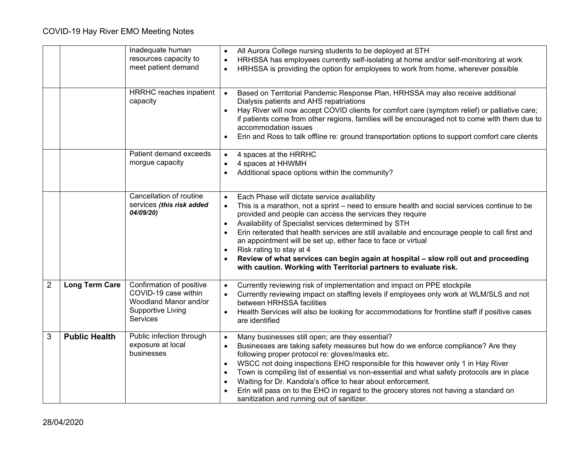## COVID-19 Hay River EMO Meeting Notes

|                |                       | Inadequate human<br>resources capacity to<br>meet patient demand                                                         | All Aurora College nursing students to be deployed at STH<br>$\bullet$<br>HRHSSA has employees currently self-isolating at home and/or self-monitoring at work<br>HRHSSA is providing the option for employees to work from home, wherever possible                                                                                                                                                                                                                                                                                                                                                                                                   |
|----------------|-----------------------|--------------------------------------------------------------------------------------------------------------------------|-------------------------------------------------------------------------------------------------------------------------------------------------------------------------------------------------------------------------------------------------------------------------------------------------------------------------------------------------------------------------------------------------------------------------------------------------------------------------------------------------------------------------------------------------------------------------------------------------------------------------------------------------------|
|                |                       | <b>HRRHC</b> reaches inpatient<br>capacity                                                                               | Based on Territorial Pandemic Response Plan, HRHSSA may also receive additional<br>$\bullet$<br>Dialysis patients and AHS repatriations<br>Hay River will now accept COVID clients for comfort care (symptom relief) or palliative care;<br>if patients come from other regions, families will be encouraged not to come with them due to<br>accommodation issues<br>Erin and Ross to talk offline re: ground transportation options to support comfort care clients                                                                                                                                                                                  |
|                |                       | Patient demand exceeds<br>morgue capacity                                                                                | 4 spaces at the HRRHC<br>$\bullet$<br>4 spaces at HHWMH<br>Additional space options within the community?                                                                                                                                                                                                                                                                                                                                                                                                                                                                                                                                             |
|                |                       | Cancellation of routine<br>services (this risk added<br>04/09/20)                                                        | Each Phase will dictate service availability<br>$\bullet$<br>This is a marathon, not a sprint – need to ensure health and social services continue to be<br>provided and people can access the services they require<br>Availability of Specialist services determined by STH<br>$\bullet$<br>Erin reiterated that health services are still available and encourage people to call first and<br>an appointment will be set up, either face to face or virtual<br>Risk rating to stay at 4<br>Review of what services can begin again at hospital - slow roll out and proceeding<br>with caution. Working with Territorial partners to evaluate risk. |
| $\overline{2}$ | <b>Long Term Care</b> | Confirmation of positive<br>COVID-19 case within<br>Woodland Manor and/or<br><b>Supportive Living</b><br><b>Services</b> | Currently reviewing risk of implementation and impact on PPE stockpile<br>$\bullet$<br>Currently reviewing impact on staffing levels if employees only work at WLM/SLS and not<br>between HRHSSA facilities<br>Health Services will also be looking for accommodations for frontline staff if positive cases<br>are identified                                                                                                                                                                                                                                                                                                                        |
| 3              | <b>Public Health</b>  | Public infection through<br>exposure at local<br>businesses                                                              | Many businesses still open; are they essential?<br>Businesses are taking safety measures but how do we enforce compliance? Are they<br>following proper protocol re: gloves/masks etc.<br>WSCC not doing inspections EHO responsible for this however only 1 in Hay River<br>Town is compiling list of essential vs non-essential and what safety protocols are in place<br>$\bullet$<br>Waiting for Dr. Kandola's office to hear about enforcement.<br>Erin will pass on to the EHO in regard to the grocery stores not having a standard on<br>sanitization and running out of sanitizer.                                                           |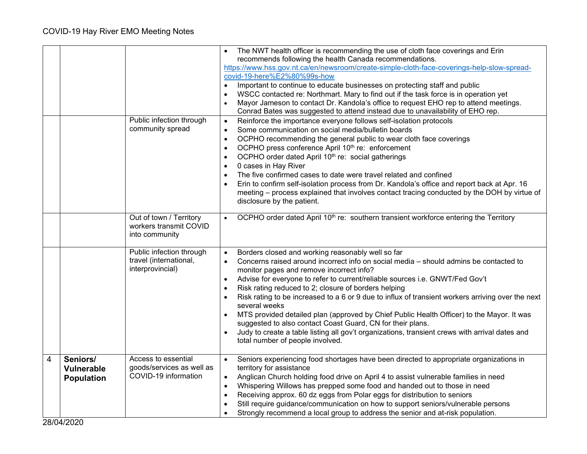|                |                                                    |                                                                          | The NWT health officer is recommending the use of cloth face coverings and Erin<br>recommends following the health Canada recommendations.<br>https://www.hss.gov.nt.ca/en/newsroom/create-simple-cloth-face-coverings-help-slow-spread-<br>covid-19-here%E2%80%99s-how<br>Important to continue to educate businesses on protecting staff and public<br>WSCC contacted re: Northmart. Mary to find out if the task force is in operation yet<br>Mayor Jameson to contact Dr. Kandola's office to request EHO rep to attend meetings.<br>Conrad Bates was suggested to attend instead due to unavailability of EHO rep.                                                                                                                                                         |
|----------------|----------------------------------------------------|--------------------------------------------------------------------------|---------------------------------------------------------------------------------------------------------------------------------------------------------------------------------------------------------------------------------------------------------------------------------------------------------------------------------------------------------------------------------------------------------------------------------------------------------------------------------------------------------------------------------------------------------------------------------------------------------------------------------------------------------------------------------------------------------------------------------------------------------------------------------|
|                |                                                    | Public infection through<br>community spread                             | Reinforce the importance everyone follows self-isolation protocols<br>$\bullet$<br>Some communication on social media/bulletin boards<br>$\bullet$<br>OCPHO recommending the general public to wear cloth face coverings<br>$\bullet$<br>OCPHO press conference April 10th re: enforcement<br>$\bullet$<br>OCPHO order dated April 10 <sup>th</sup> re: social gatherings<br>$\bullet$<br>0 cases in Hay River<br>$\bullet$<br>The five confirmed cases to date were travel related and confined<br>Erin to confirm self-isolation process from Dr. Kandola's office and report back at Apr. 16<br>meeting - process explained that involves contact tracing conducted by the DOH by virtue of<br>disclosure by the patient.                                                    |
|                |                                                    | Out of town / Territory<br>workers transmit COVID<br>into community      | OCPHO order dated April 10 <sup>th</sup> re: southern transient workforce entering the Territory<br>$\bullet$                                                                                                                                                                                                                                                                                                                                                                                                                                                                                                                                                                                                                                                                   |
|                |                                                    | Public infection through<br>travel (international,<br>interprovincial)   | Borders closed and working reasonably well so far<br>$\bullet$<br>Concerns raised around incorrect info on social media – should admins be contacted to<br>$\bullet$<br>monitor pages and remove incorrect info?<br>Advise for everyone to refer to current/reliable sources i.e. GNWT/Fed Gov't<br>Risk rating reduced to 2; closure of borders helping<br>Risk rating to be increased to a 6 or 9 due to influx of transient workers arriving over the next<br>several weeks<br>MTS provided detailed plan (approved by Chief Public Health Officer) to the Mayor. It was<br>suggested to also contact Coast Guard, CN for their plans.<br>Judy to create a table listing all gov't organizations, transient crews with arrival dates and<br>total number of people involved. |
| $\overline{4}$ | Seniors/<br><b>Vulnerable</b><br><b>Population</b> | Access to essential<br>goods/services as well as<br>COVID-19 information | Seniors experiencing food shortages have been directed to appropriate organizations in<br>$\bullet$<br>territory for assistance<br>Anglican Church holding food drive on April 4 to assist vulnerable families in need<br>$\bullet$<br>Whispering Willows has prepped some food and handed out to those in need<br>$\bullet$<br>Receiving approx. 60 dz eggs from Polar eggs for distribution to seniors<br>$\bullet$<br>Still require guidance/communication on how to support seniors/vulnerable persons<br>Strongly recommend a local group to address the senior and at-risk population.                                                                                                                                                                                    |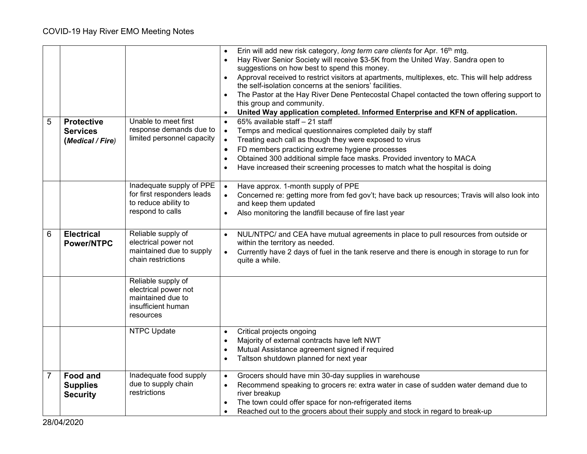|                |                                        |                                                                                                    | Erin will add new risk category, long term care clients for Apr. 16th mtg.<br>Hay River Senior Society will receive \$3-5K from the United Way. Sandra open to<br>suggestions on how best to spend this money.<br>Approval received to restrict visitors at apartments, multiplexes, etc. This will help address<br>$\bullet$<br>the self-isolation concerns at the seniors' facilities.<br>The Pastor at the Hay River Dene Pentecostal Chapel contacted the town offering support to<br>this group and community.<br>United Way application completed. Informed Enterprise and KFN of application.<br>$\bullet$ |
|----------------|----------------------------------------|----------------------------------------------------------------------------------------------------|-------------------------------------------------------------------------------------------------------------------------------------------------------------------------------------------------------------------------------------------------------------------------------------------------------------------------------------------------------------------------------------------------------------------------------------------------------------------------------------------------------------------------------------------------------------------------------------------------------------------|
| 5              | <b>Protective</b><br><b>Services</b>   | Unable to meet first<br>response demands due to                                                    | 65% available staff - 21 staff<br>$\bullet$<br>Temps and medical questionnaires completed daily by staff<br>$\bullet$                                                                                                                                                                                                                                                                                                                                                                                                                                                                                             |
|                | (Medical / Fire)                       | limited personnel capacity                                                                         | Treating each call as though they were exposed to virus<br>$\bullet$                                                                                                                                                                                                                                                                                                                                                                                                                                                                                                                                              |
|                |                                        |                                                                                                    | FD members practicing extreme hygiene processes<br>Obtained 300 additional simple face masks. Provided inventory to MACA                                                                                                                                                                                                                                                                                                                                                                                                                                                                                          |
|                |                                        |                                                                                                    | Have increased their screening processes to match what the hospital is doing                                                                                                                                                                                                                                                                                                                                                                                                                                                                                                                                      |
|                |                                        | Inadequate supply of PPE<br>for first responders leads                                             | Have approx. 1-month supply of PPE<br>$\bullet$                                                                                                                                                                                                                                                                                                                                                                                                                                                                                                                                                                   |
|                |                                        | to reduce ability to                                                                               | Concerned re: getting more from fed gov't; have back up resources; Travis will also look into<br>$\bullet$<br>and keep them updated                                                                                                                                                                                                                                                                                                                                                                                                                                                                               |
|                |                                        | respond to calls                                                                                   | Also monitoring the landfill because of fire last year<br>$\bullet$                                                                                                                                                                                                                                                                                                                                                                                                                                                                                                                                               |
| 6              | <b>Electrical</b><br><b>Power/NTPC</b> | Reliable supply of<br>electrical power not<br>maintained due to supply<br>chain restrictions       | NUL/NTPC/ and CEA have mutual agreements in place to pull resources from outside or<br>within the territory as needed.<br>Currently have 2 days of fuel in the tank reserve and there is enough in storage to run for<br>$\bullet$<br>quite a while.                                                                                                                                                                                                                                                                                                                                                              |
|                |                                        | Reliable supply of<br>electrical power not<br>maintained due to<br>insufficient human<br>resources |                                                                                                                                                                                                                                                                                                                                                                                                                                                                                                                                                                                                                   |
|                |                                        | <b>NTPC Update</b>                                                                                 | Critical projects ongoing<br>$\bullet$<br>Majority of external contracts have left NWT<br>$\bullet$                                                                                                                                                                                                                                                                                                                                                                                                                                                                                                               |
|                |                                        |                                                                                                    | Mutual Assistance agreement signed if required                                                                                                                                                                                                                                                                                                                                                                                                                                                                                                                                                                    |
|                |                                        |                                                                                                    | Taltson shutdown planned for next year                                                                                                                                                                                                                                                                                                                                                                                                                                                                                                                                                                            |
| $\overline{7}$ | <b>Food and</b>                        | Inadequate food supply<br>due to supply chain                                                      | Grocers should have min 30-day supplies in warehouse<br>$\bullet$                                                                                                                                                                                                                                                                                                                                                                                                                                                                                                                                                 |
|                | <b>Supplies</b><br><b>Security</b>     | restrictions                                                                                       | Recommend speaking to grocers re: extra water in case of sudden water demand due to<br>$\bullet$<br>river breakup                                                                                                                                                                                                                                                                                                                                                                                                                                                                                                 |
|                |                                        |                                                                                                    | The town could offer space for non-refrigerated items                                                                                                                                                                                                                                                                                                                                                                                                                                                                                                                                                             |
|                |                                        |                                                                                                    | Reached out to the grocers about their supply and stock in regard to break-up<br>$\bullet$                                                                                                                                                                                                                                                                                                                                                                                                                                                                                                                        |

28/04/2020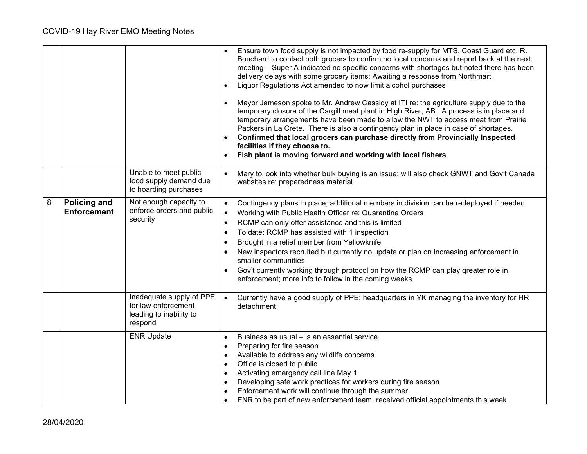|   |                                           |                                                                                       | Ensure town food supply is not impacted by food re-supply for MTS, Coast Guard etc. R.<br>Bouchard to contact both grocers to confirm no local concerns and report back at the next<br>meeting - Super A indicated no specific concerns with shortages but noted there has been<br>delivery delays with some grocery items; Awaiting a response from Northmart.<br>Liquor Regulations Act amended to now limit alcohol purchases<br>$\bullet$                                                                                                                                     |
|---|-------------------------------------------|---------------------------------------------------------------------------------------|-----------------------------------------------------------------------------------------------------------------------------------------------------------------------------------------------------------------------------------------------------------------------------------------------------------------------------------------------------------------------------------------------------------------------------------------------------------------------------------------------------------------------------------------------------------------------------------|
|   |                                           |                                                                                       | Mayor Jameson spoke to Mr. Andrew Cassidy at ITI re: the agriculture supply due to the<br>temporary closure of the Cargill meat plant in High River, AB. A process is in place and<br>temporary arrangements have been made to allow the NWT to access meat from Prairie<br>Packers in La Crete. There is also a contingency plan in place in case of shortages.<br>Confirmed that local grocers can purchase directly from Provincially Inspected<br>facilities if they choose to.<br>Fish plant is moving forward and working with local fishers                                |
|   |                                           | Unable to meet public<br>food supply demand due<br>to hoarding purchases              | Mary to look into whether bulk buying is an issue; will also check GNWT and Gov't Canada<br>$\bullet$<br>websites re: preparedness material                                                                                                                                                                                                                                                                                                                                                                                                                                       |
| 8 | <b>Policing and</b><br><b>Enforcement</b> | Not enough capacity to<br>enforce orders and public<br>security                       | Contingency plans in place; additional members in division can be redeployed if needed<br>$\bullet$<br>Working with Public Health Officer re: Quarantine Orders<br>RCMP can only offer assistance and this is limited<br>To date: RCMP has assisted with 1 inspection<br>Brought in a relief member from Yellowknife<br>New inspectors recruited but currently no update or plan on increasing enforcement in<br>smaller communities<br>Gov't currently working through protocol on how the RCMP can play greater role in<br>enforcement; more info to follow in the coming weeks |
|   |                                           | Inadequate supply of PPE<br>for law enforcement<br>leading to inability to<br>respond | Currently have a good supply of PPE; headquarters in YK managing the inventory for HR<br>$\bullet$<br>detachment                                                                                                                                                                                                                                                                                                                                                                                                                                                                  |
|   |                                           | <b>ENR Update</b>                                                                     | Business as usual - is an essential service<br>$\bullet$<br>Preparing for fire season<br>Available to address any wildlife concerns<br>Office is closed to public<br>$\bullet$<br>Activating emergency call line May 1<br>Developing safe work practices for workers during fire season.<br>Enforcement work will continue through the summer.<br>ENR to be part of new enforcement team; received official appointments this week.                                                                                                                                               |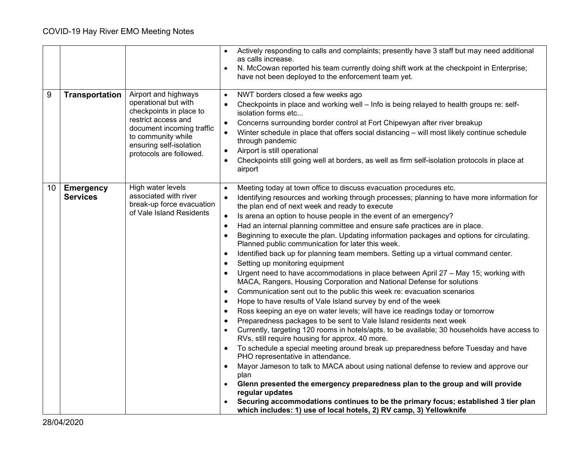|       |                                     |                                                                                                                                                                                                         | Actively responding to calls and complaints; presently have 3 staff but may need additional<br>as calls increase.<br>N. McCowan reported his team currently doing shift work at the checkpoint in Enterprise;<br>have not been deployed to the enforcement team yet.                                                                                                                                                                                                                                                                                                                                                                                                                                                                                                                                                                                                                                                                                                                                                                                                                                                                                                                                                                                                                                                                                                                                                                                                                                                                                                                                                                                                                                                                                                                                                                                              |
|-------|-------------------------------------|---------------------------------------------------------------------------------------------------------------------------------------------------------------------------------------------------------|-------------------------------------------------------------------------------------------------------------------------------------------------------------------------------------------------------------------------------------------------------------------------------------------------------------------------------------------------------------------------------------------------------------------------------------------------------------------------------------------------------------------------------------------------------------------------------------------------------------------------------------------------------------------------------------------------------------------------------------------------------------------------------------------------------------------------------------------------------------------------------------------------------------------------------------------------------------------------------------------------------------------------------------------------------------------------------------------------------------------------------------------------------------------------------------------------------------------------------------------------------------------------------------------------------------------------------------------------------------------------------------------------------------------------------------------------------------------------------------------------------------------------------------------------------------------------------------------------------------------------------------------------------------------------------------------------------------------------------------------------------------------------------------------------------------------------------------------------------------------|
| $9\,$ | <b>Transportation</b>               | Airport and highways<br>operational but with<br>checkpoints in place to<br>restrict access and<br>document incoming traffic<br>to community while<br>ensuring self-isolation<br>protocols are followed. | NWT borders closed a few weeks ago<br>$\bullet$<br>Checkpoints in place and working well - Info is being relayed to health groups re: self-<br>isolation forms etc<br>Concerns surrounding border control at Fort Chipewyan after river breakup<br>Winter schedule in place that offers social distancing - will most likely continue schedule<br>$\bullet$<br>through pandemic<br>Airport is still operational<br>$\bullet$<br>Checkpoints still going well at borders, as well as firm self-isolation protocols in place at<br>$\bullet$<br>airport                                                                                                                                                                                                                                                                                                                                                                                                                                                                                                                                                                                                                                                                                                                                                                                                                                                                                                                                                                                                                                                                                                                                                                                                                                                                                                             |
| 10    | <b>Emergency</b><br><b>Services</b> | High water levels<br>associated with river<br>break-up force evacuation<br>of Vale Island Residents                                                                                                     | Meeting today at town office to discuss evacuation procedures etc.<br>Identifying resources and working through processes; planning to have more information for<br>the plan end of next week and ready to execute<br>Is arena an option to house people in the event of an emergency?<br>$\bullet$<br>Had an internal planning committee and ensure safe practices are in place.<br>$\bullet$<br>Beginning to execute the plan. Updating information packages and options for circulating.<br>$\bullet$<br>Planned public communication for later this week.<br>Identified back up for planning team members. Setting up a virtual command center.<br>$\bullet$<br>Setting up monitoring equipment<br>Urgent need to have accommodations in place between April 27 - May 15; working with<br>MACA, Rangers, Housing Corporation and National Defense for solutions<br>Communication sent out to the public this week re: evacuation scenarios<br>$\bullet$<br>Hope to have results of Vale Island survey by end of the week<br>٠<br>Ross keeping an eye on water levels; will have ice readings today or tomorrow<br>$\bullet$<br>Preparedness packages to be sent to Vale Island residents next week<br>Currently, targeting 120 rooms in hotels/apts. to be available; 30 households have access to<br>RVs, still require housing for approx. 40 more.<br>To schedule a special meeting around break up preparedness before Tuesday and have<br>PHO representative in attendance.<br>Mayor Jameson to talk to MACA about using national defense to review and approve our<br>$\bullet$<br>plan<br>Glenn presented the emergency preparedness plan to the group and will provide<br>regular updates<br>Securing accommodations continues to be the primary focus; established 3 tier plan<br>which includes: 1) use of local hotels, 2) RV camp, 3) Yellowknife |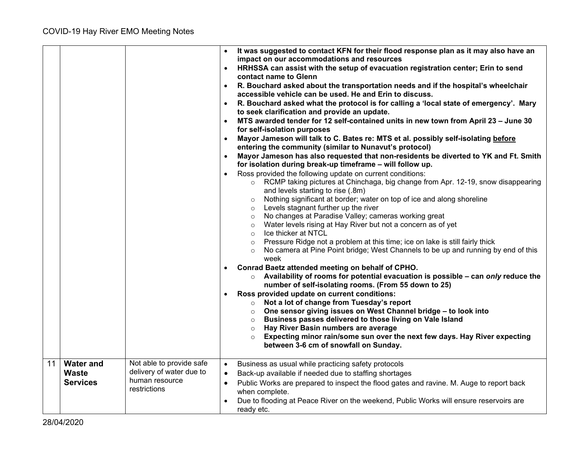|    |                                                     |                                                                                        | It was suggested to contact KFN for their flood response plan as it may also have an<br>impact on our accommodations and resources<br>HRHSSA can assist with the setup of evacuation registration center; Erin to send<br>contact name to Glenn<br>R. Bouchard asked about the transportation needs and if the hospital's wheelchair<br>accessible vehicle can be used. He and Erin to discuss.<br>R. Bouchard asked what the protocol is for calling a 'local state of emergency'. Mary<br>to seek clarification and provide an update.<br>MTS awarded tender for 12 self-contained units in new town from April 23 - June 30<br>$\bullet$<br>for self-isolation purposes<br>Mayor Jameson will talk to C. Bates re: MTS et al. possibly self-isolating before<br>entering the community (similar to Nunavut's protocol)<br>Mayor Jameson has also requested that non-residents be diverted to YK and Ft. Smith<br>for isolation during break-up timeframe - will follow up.<br>Ross provided the following update on current conditions:<br>○ RCMP taking pictures at Chinchaga, big change from Apr. 12-19, snow disappearing<br>and levels starting to rise (.8m)<br>Nothing significant at border; water on top of ice and along shoreline<br>$\circ$<br>Levels stagnant further up the river<br>$\circ$<br>No changes at Paradise Valley; cameras working great<br>$\circ$<br>Water levels rising at Hay River but not a concern as of yet<br>$\circ$<br>Ice thicker at NTCL<br>$\circ$<br>Pressure Ridge not a problem at this time; ice on lake is still fairly thick<br>$\circ$<br>No camera at Pine Point bridge; West Channels to be up and running by end of this<br>$\circ$<br>week<br>Conrad Baetz attended meeting on behalf of CPHO.<br>Availability of rooms for potential evacuation is possible - can only reduce the<br>$\circ$<br>number of self-isolating rooms. (From 55 down to 25)<br>Ross provided update on current conditions:<br>Not a lot of change from Tuesday's report<br>$\circ$<br>One sensor giving issues on West Channel bridge - to look into<br>$\circ$<br>Business passes delivered to those living on Vale Island<br>$\circ$<br>Hay River Basin numbers are average<br>$\circ$<br>Expecting minor rain/some sun over the next few days. Hay River expecting<br>$\circ$<br>between 3-6 cm of snowfall on Sunday. |
|----|-----------------------------------------------------|----------------------------------------------------------------------------------------|-----------------------------------------------------------------------------------------------------------------------------------------------------------------------------------------------------------------------------------------------------------------------------------------------------------------------------------------------------------------------------------------------------------------------------------------------------------------------------------------------------------------------------------------------------------------------------------------------------------------------------------------------------------------------------------------------------------------------------------------------------------------------------------------------------------------------------------------------------------------------------------------------------------------------------------------------------------------------------------------------------------------------------------------------------------------------------------------------------------------------------------------------------------------------------------------------------------------------------------------------------------------------------------------------------------------------------------------------------------------------------------------------------------------------------------------------------------------------------------------------------------------------------------------------------------------------------------------------------------------------------------------------------------------------------------------------------------------------------------------------------------------------------------------------------------------------------------------------------------------------------------------------------------------------------------------------------------------------------------------------------------------------------------------------------------------------------------------------------------------------------------------------------------------------------------------------------------------------------------------------------------------------------------------------------------------------------------------------------------|
| 11 | <b>Water and</b><br><b>Waste</b><br><b>Services</b> | Not able to provide safe<br>delivery of water due to<br>human resource<br>restrictions | Business as usual while practicing safety protocols<br>$\bullet$<br>Back-up available if needed due to staffing shortages<br>$\bullet$<br>Public Works are prepared to inspect the flood gates and ravine. M. Auge to report back<br>$\bullet$<br>when complete.<br>Due to flooding at Peace River on the weekend, Public Works will ensure reservoirs are<br>ready etc.                                                                                                                                                                                                                                                                                                                                                                                                                                                                                                                                                                                                                                                                                                                                                                                                                                                                                                                                                                                                                                                                                                                                                                                                                                                                                                                                                                                                                                                                                                                                                                                                                                                                                                                                                                                                                                                                                                                                                                                  |